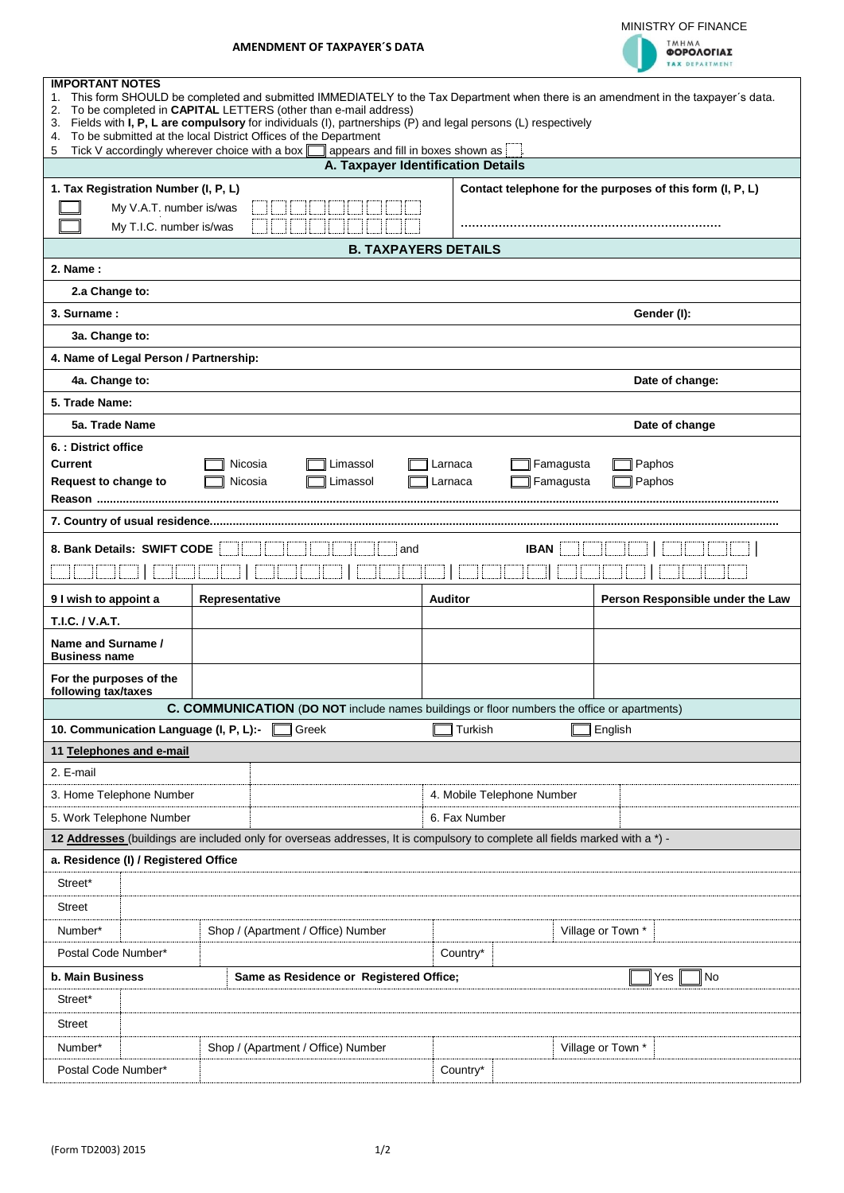

| <b>TMHMA</b><br>ΦΟΡΟΛΟΓΙΑΣ |  |  |  |  |
|----------------------------|--|--|--|--|
| <b>TAX DEPARTMENT</b>      |  |  |  |  |

| <b>IMPORTANT NOTES</b><br>This form SHOULD be completed and submitted IMMEDIATELY to the Tax Department when there is an amendment in the taxpayer's data.<br>1.                          |                                                                                             |                                    |                                                           |  |  |  |  |  |  |
|-------------------------------------------------------------------------------------------------------------------------------------------------------------------------------------------|---------------------------------------------------------------------------------------------|------------------------------------|-----------------------------------------------------------|--|--|--|--|--|--|
| To be completed in CAPITAL LETTERS (other than e-mail address)<br>2.<br>Fields with I, P, L are compulsory for individuals (I), partnerships (P) and legal persons (L) respectively<br>3. |                                                                                             |                                    |                                                           |  |  |  |  |  |  |
| To be submitted at the local District Offices of the Department<br>4.<br>Tick V accordingly wherever choice with a box $\square$<br>appears and fill in boxes shown as<br>5               |                                                                                             |                                    |                                                           |  |  |  |  |  |  |
|                                                                                                                                                                                           |                                                                                             | A. Taxpayer Identification Details |                                                           |  |  |  |  |  |  |
| 1. Tax Registration Number (I, P, L)                                                                                                                                                      |                                                                                             |                                    | Contact telephone for the purposes of this form (I, P, L) |  |  |  |  |  |  |
|                                                                                                                                                                                           | My V.A.T. number is/was                                                                     |                                    |                                                           |  |  |  |  |  |  |
| My T.I.C. number is/was                                                                                                                                                                   |                                                                                             |                                    |                                                           |  |  |  |  |  |  |
|                                                                                                                                                                                           |                                                                                             | <b>B. TAXPAYERS DETAILS</b>        |                                                           |  |  |  |  |  |  |
| 2. Name:                                                                                                                                                                                  |                                                                                             |                                    |                                                           |  |  |  |  |  |  |
| 2.a Change to:                                                                                                                                                                            |                                                                                             |                                    |                                                           |  |  |  |  |  |  |
| 3. Surname:                                                                                                                                                                               |                                                                                             |                                    | Gender (I):                                               |  |  |  |  |  |  |
| 3a. Change to:                                                                                                                                                                            |                                                                                             |                                    |                                                           |  |  |  |  |  |  |
| 4. Name of Legal Person / Partnership:                                                                                                                                                    |                                                                                             |                                    |                                                           |  |  |  |  |  |  |
| 4a. Change to:<br>5. Trade Name:                                                                                                                                                          |                                                                                             |                                    | Date of change:                                           |  |  |  |  |  |  |
| 5a. Trade Name                                                                                                                                                                            |                                                                                             |                                    | Date of change                                            |  |  |  |  |  |  |
| 6. : District office                                                                                                                                                                      |                                                                                             |                                    |                                                           |  |  |  |  |  |  |
| Current                                                                                                                                                                                   | Nicosia<br>Limassol                                                                         | Larnaca                            | Famagusta<br>Paphos                                       |  |  |  |  |  |  |
| Request to change to                                                                                                                                                                      | Nicosia<br>Limassol                                                                         | Larnaca                            | Famagusta<br>Paphos                                       |  |  |  |  |  |  |
|                                                                                                                                                                                           |                                                                                             |                                    |                                                           |  |  |  |  |  |  |
|                                                                                                                                                                                           |                                                                                             |                                    |                                                           |  |  |  |  |  |  |
| 8. Bank Details: SWIFT CODE                                                                                                                                                               |                                                                                             | <b>IBAN</b><br>and                 |                                                           |  |  |  |  |  |  |
|                                                                                                                                                                                           |                                                                                             |                                    |                                                           |  |  |  |  |  |  |
| 9 I wish to appoint a                                                                                                                                                                     | Representative                                                                              | <b>Auditor</b>                     | Person Responsible under the Law                          |  |  |  |  |  |  |
| T.I.C. / V.A.T.                                                                                                                                                                           |                                                                                             |                                    |                                                           |  |  |  |  |  |  |
| Name and Surname /<br><b>Business name</b>                                                                                                                                                |                                                                                             |                                    |                                                           |  |  |  |  |  |  |
| For the purposes of the<br>following tax/taxes                                                                                                                                            |                                                                                             |                                    |                                                           |  |  |  |  |  |  |
|                                                                                                                                                                                           | C. COMMUNICATION (DO NOT include names buildings or floor numbers the office or apartments) |                                    |                                                           |  |  |  |  |  |  |
| 10. Communication Language (I, P, L):-                                                                                                                                                    | Greek                                                                                       | Turkish                            | English                                                   |  |  |  |  |  |  |
| 11 Telephones and e-mail                                                                                                                                                                  |                                                                                             |                                    |                                                           |  |  |  |  |  |  |
| 2. E-mail                                                                                                                                                                                 |                                                                                             |                                    |                                                           |  |  |  |  |  |  |
| 3. Home Telephone Number                                                                                                                                                                  |                                                                                             | 4. Mobile Telephone Number         |                                                           |  |  |  |  |  |  |
| 5. Work Telephone Number                                                                                                                                                                  |                                                                                             | 6. Fax Number                      |                                                           |  |  |  |  |  |  |
| 12 Addresses (buildings are included only for overseas addresses, It is compulsory to complete all fields marked with a *) -                                                              |                                                                                             |                                    |                                                           |  |  |  |  |  |  |
| a. Residence (I) / Registered Office                                                                                                                                                      |                                                                                             |                                    |                                                           |  |  |  |  |  |  |
| Street*                                                                                                                                                                                   |                                                                                             |                                    |                                                           |  |  |  |  |  |  |
| Street                                                                                                                                                                                    |                                                                                             |                                    |                                                           |  |  |  |  |  |  |
| Number*                                                                                                                                                                                   | Shop / (Apartment / Office) Number                                                          |                                    | Village or Town *                                         |  |  |  |  |  |  |
|                                                                                                                                                                                           | Country*<br>Postal Code Number*                                                             |                                    |                                                           |  |  |  |  |  |  |
| b. Main Business<br>No<br>Same as Residence or Registered Office;<br>Yes                                                                                                                  |                                                                                             |                                    |                                                           |  |  |  |  |  |  |
| Street*                                                                                                                                                                                   |                                                                                             |                                    |                                                           |  |  |  |  |  |  |
| <b>Street</b>                                                                                                                                                                             |                                                                                             |                                    |                                                           |  |  |  |  |  |  |
| Number*                                                                                                                                                                                   | Shop / (Apartment / Office) Number                                                          |                                    | Village or Town *                                         |  |  |  |  |  |  |
| Postal Code Number*                                                                                                                                                                       |                                                                                             | Country*                           |                                                           |  |  |  |  |  |  |